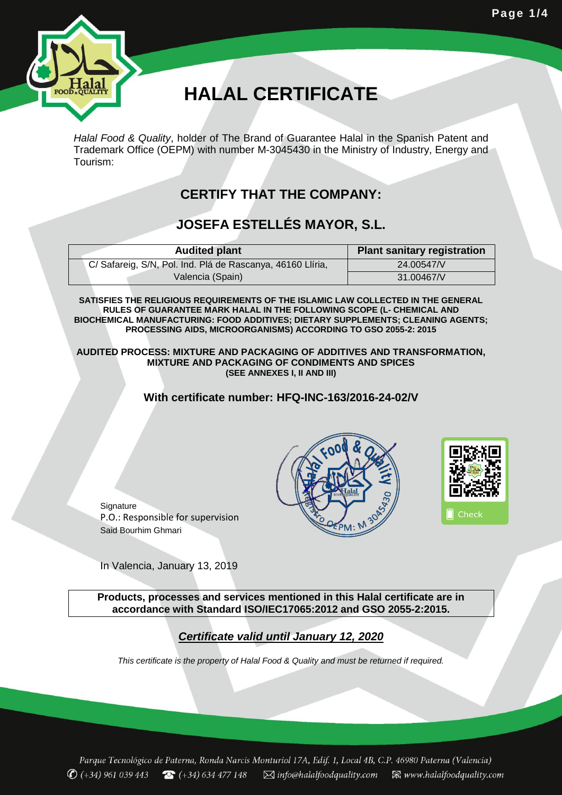

# **HALAL CERTIFICATE**

*Halal Food & Quality*, holder of The Brand of Guarantee Halal in the Spanish Patent and Trademark Office (OEPM) with number M-3045430 in the Ministry of Industry, Energy and Tourism:

## **CERTIFY THAT THE COMPANY:**

## **JOSEFA ESTELLÉS MAYOR, S.L.**

| <b>Audited plant</b>                                       | <b>Plant sanitary registration</b> |
|------------------------------------------------------------|------------------------------------|
| C/ Safareig, S/N, Pol. Ind. Plá de Rascanya, 46160 Llíria, | 24.00547/V                         |
| Valencia (Spain)                                           | 31.00467/V                         |

**SATISFIES THE RELIGIOUS REQUIREMENTS OF THE ISLAMIC LAW COLLECTED IN THE GENERAL RULES OF GUARANTEE MARK HALAL IN THE FOLLOWING SCOPE (L- CHEMICAL AND BIOCHEMICAL MANUFACTURING: FOOD ADDITIVES; DIETARY SUPPLEMENTS; CLEANING AGENTS; PROCESSING AIDS, MICROORGANISMS) ACCORDING TO GSO 2055-2: 2015**

**AUDITED PROCESS: MIXTURE AND PACKAGING OF ADDITIVES AND TRANSFORMATION, MIXTURE AND PACKAGING OF CONDIMENTS AND SPICES (SEE ANNEXES I, II AND III)**

#### **With certificate number: HFQ-INC-163/2016-24-02/V**



**Signature** P.O.: Responsible for supervision Said Bourhim Ghmari

In Valencia, January 13, 2019

**Products, processes and services mentioned in this Halal certificate are in accordance with Standard ISO/IEC17065:2012 and GSO 2055-2:2015.**

#### *Certificate valid until January 12, 2020*

*This certificate is the property of Halal Food & Quality and must be returned if required.*

Parque Tecnológico de Paterna, Ronda Narcis Monturiol 17A, Edif. 1, Local 4B, C.P. 46980 Paterna (Valencia)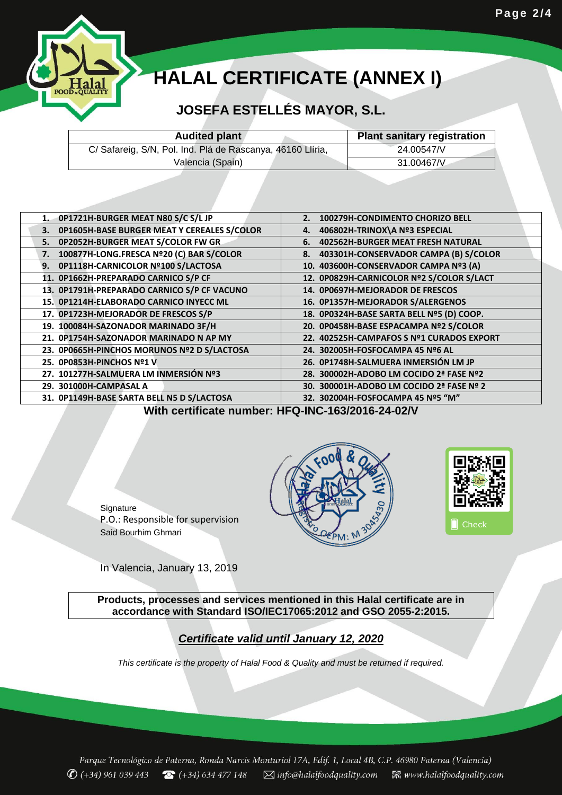

# **HALAL CERTIFICATE (ANNEX I)**

## **JOSEFA ESTELLÉS MAYOR, S.L.**

| <b>Audited plant</b>                                       | <b>Plant sanitary registration</b> |
|------------------------------------------------------------|------------------------------------|
| C/ Safareig, S/N, Pol. Ind. Plá de Rascanya, 46160 Llíria, | 24.00547/V                         |
| Valencia (Spain)                                           | 31.00467/V                         |

| 100279H-CONDIMENTO CHORIZO BELL<br>2.          |
|------------------------------------------------|
| 406802H-TRINOX\A Nº3 ESPECIAL<br>4.            |
| <b>402562H-BURGER MEAT FRESH NATURAL</b><br>6. |
| 8. 403301H-CONSERVADOR CAMPA (B) S/COLOR       |
| 10. 403600H-CONSERVADOR CAMPA Nº3 (A)          |
| 12. 0P0829H-CARNICOLOR Nº2 S/COLOR S/LACT      |
| 14. 0P0697H-MEJORADOR DE FRESCOS               |
| 16. 0P1357H-MEJORADOR S/ALERGENOS              |
| 18. 0P0324H-BASE SARTA BELL Nº5 (D) COOP.      |
| 20. 0P0458H-BASE ESPACAMPA Nº2 S/COLOR         |
| 22. 402525H-CAMPAFOS S Nº1 CURADOS EXPORT      |
| 24. 302005H-FOSFOCAMPA 45 Nº6 AL               |
| 26. OP1748H-SALMUERA INMERSIÓN LM JP           |
| 28. 300002H-ADOBO LM COCIDO 2ª FASE Nº2        |
| 30. 300001H-ADOBO LM COCIDO 2ª FASE Nº 2       |
| 32. 302004H-FOSFOCAMPA 45 Nº5 "M"              |
|                                                |

**With certificate number: HFQ-INC-163/2016-24-02/V**





**Signature** P.O.: Responsible for supervision Said Bourhim Ghmari

In Valencia, January 13, 2019

**Products, processes and services mentioned in this Halal certificate are in accordance with Standard ISO/IEC17065:2012 and GSO 2055-2:2015.**

### *Certificate valid until January 12, 2020*

*This certificate is the property of Halal Food & Quality and must be returned if required.*

Parque Tecnológico de Paterna, Ronda Narcis Monturiol 17A, Edif. 1, Local 4B, C.P. 46980 Paterna (Valencia)  $\bigcirc$  (+34) 961 039 443  $\bigcirc$  (+34) 634 477 148  $\boxtimes$  info@halalfoodquality.com  $\boxtimes$  www.halalfoodquality.com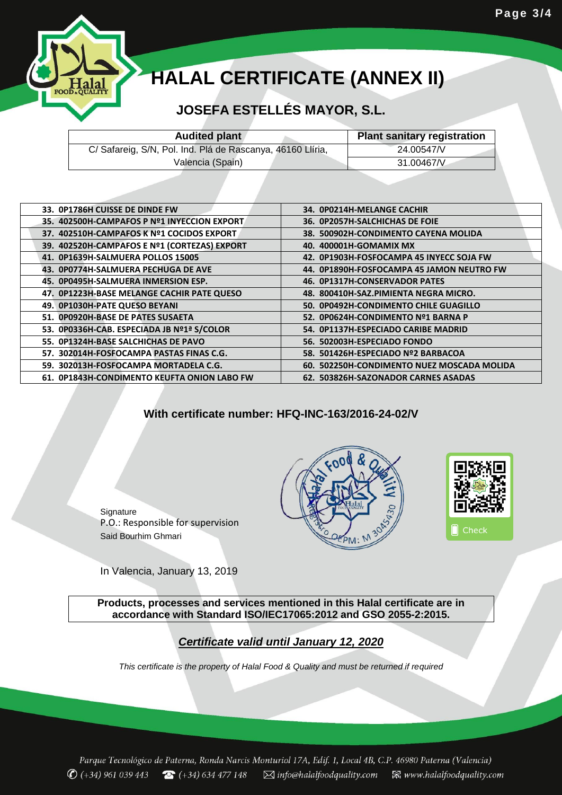

# **HALAL CERTIFICATE (ANNEX II)**

## **JOSEFA ESTELLÉS MAYOR, S.L.**

| <b>Audited plant</b>                                       | <b>Plant sanitary registration</b> |
|------------------------------------------------------------|------------------------------------|
| C/ Safareig, S/N, Pol. Ind. Plá de Rascanya, 46160 Llíria, | 24.00547/V                         |
| Valencia (Spain)                                           | 31.00467/V                         |

| 33. OP1786H CUISSE DE DINDE FW               | 34. OPO214H-MELANGE CACHIR                 |
|----------------------------------------------|--------------------------------------------|
| 35. 402500H-CAMPAFOS P Nº1 INYECCION EXPORT  | 36. OP2057H-SALCHICHAS DE FOIE             |
| 37. 402510H-CAMPAFOS K Nº1 COCIDOS EXPORT    | 38. 500902H-CONDIMENTO CAYENA MOLIDA       |
| 39. 402520H-CAMPAFOS E Nº1 (CORTEZAS) EXPORT | 40. 400001H-GOMAMIX MX                     |
| 41. OP1639H-SALMUERA POLLOS 15005            | 42. OP1903H-FOSFOCAMPA 45 INYECC SOJA FW   |
| 43. OP0774H-SALMUERA PECHUGA DE AVE          | 44. OP1890H-FOSFOCAMPA 45 JAMON NEUTRO FW  |
| 45. OP0495H-SALMUERA INMERSION ESP.          | 46. OP1317H-CONSERVADOR PATES              |
| 47. OP1223H-BASE MELANGE CACHIR PATE QUESO   | 48. 800410H-SAZ.PIMIENTA NEGRA MICRO.      |
| 49. OP1030H-PATE QUESO BEYANI                | 50. 0P0492H-CONDIMENTO CHILE GUAGILLO      |
| 51. OP0920H-BASE DE PATES SUSAETA            | 52. OPO624H-CONDIMENTO Nº1 BARNA P         |
| 53. 0P0336H-CAB. ESPECIADA JB Nº1ª S/COLOR   | 54. OP1137H-ESPECIADO CARIBE MADRID        |
| 55. OP1324H-BASE SALCHICHAS DE PAVO          | 56. 502003H-ESPECIADO FONDO                |
| 57. 302014H-FOSFOCAMPA PASTAS FINAS C.G.     | 58. 501426H-ESPECIADO Nº2 BARBACOA         |
| 59. 302013H-FOSFOCAMPA MORTADELA C.G.        | 60. 502250H-CONDIMENTO NUEZ MOSCADA MOLIDA |
| 61. OP1843H-CONDIMENTO KEUFTA ONION LABO FW  | 62. 503826H-SAZONADOR CARNES ASADAS        |
|                                              |                                            |

#### **With certificate number: HFQ-INC-163/2016-24-02/V**

**Signature** P.O.: Responsible for supervision Said Bourhim Ghmari

In Valencia, January 13, 2019

**Products, processes and services mentioned in this Halal certificate are in accordance with Standard ISO/IEC17065:2012 and GSO 2055-2:2015.**

*Certificate valid until January 12, 2020*

*This certificate is the property of Halal Food & Quality and must be returned if required*

Parque Tecnológico de Paterna, Ronda Narcis Monturiol 17A, Edif. 1, Local 4B, C.P. 46980 Paterna (Valencia)  $\bigcirc$  (+34) 961 039 443  $\bigcirc$  (+34) 634 477 148  $\boxtimes$  info@halalfoodquality.com  $\boxtimes$  www.halalfoodquality.com